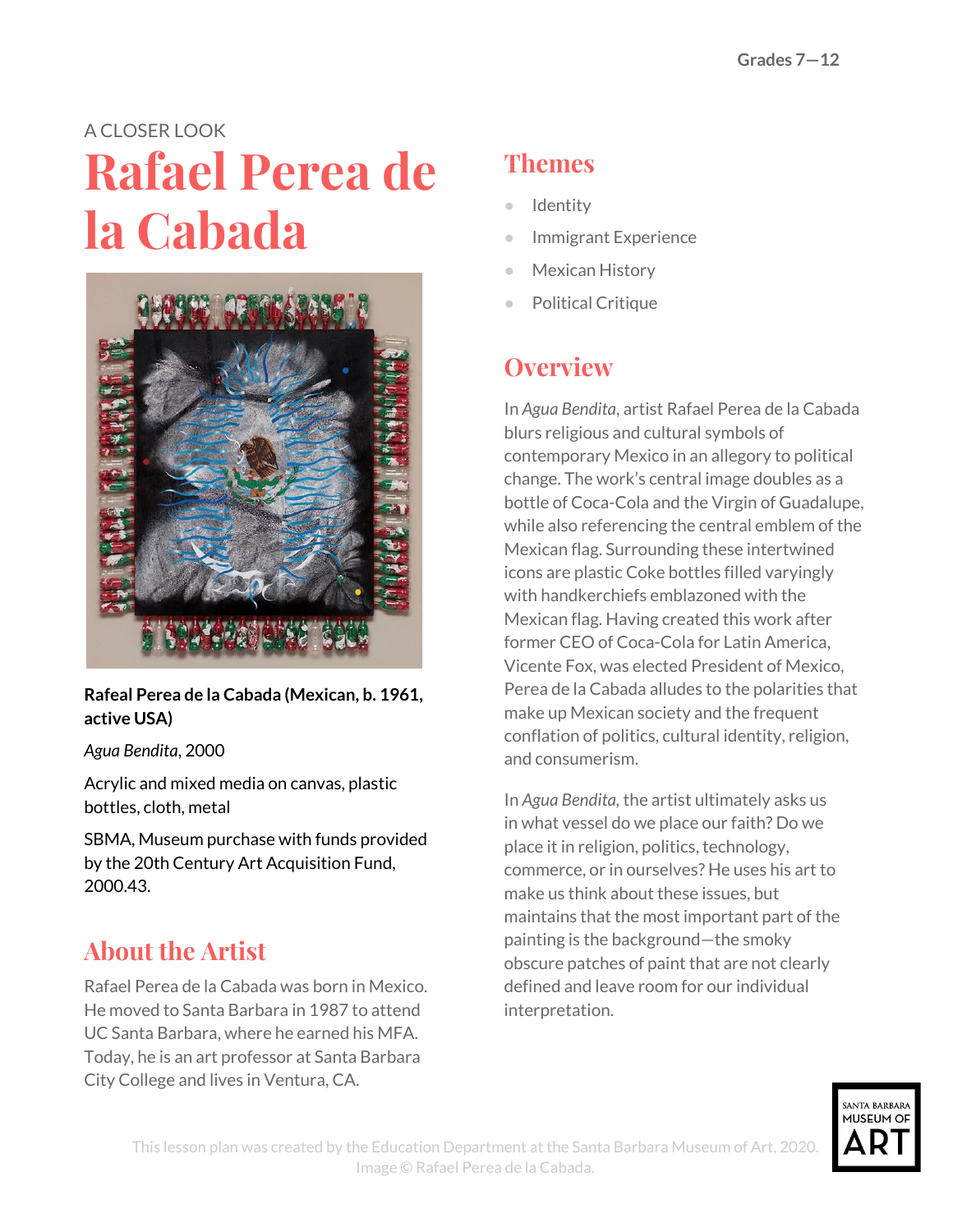# A CLOSER LOOK **Rafael Perea de la Cabada**



#### **Rafeal Perea de la Cabada (Mexican, b. 1961, active USA)**

#### *Agua Bendita*, 2000

Acrylic and mixed media on canvas, plastic bottles, cloth, metal

SBMA, Museum purchase with funds provided by the 20th Century Art Acquisition Fund, 2000.43.

### **About the Artist**

Rafael Perea de la Cabada was born in Mexico. He moved to Santa Barbara in 1987 to attend UC Santa Barbara, where he earned his MFA. Today, he is an art professor at Santa Barbara City College and lives in Ventura, CA.

#### **Themes**

- **Identity**
- **Immigrant Experience**
- Mexican History
- **Political Critique**

#### **Overview**

In *Agua Bendita*, artist Rafael Perea de la Cabada blurs religious and cultural symbols of contemporary Mexico in an allegory to political change. The work's central image doubles as a bottle of Coca-Cola and the Virgin of Guadalupe, while also referencing the central emblem of the Mexican flag. Surrounding these intertwined icons are plastic Coke bottles filled varyingly with handkerchiefs emblazoned with the Mexican flag. Having created this work after former CEO of Coca-Cola for Latin America, Vicente Fox, was elected President of Mexico, Perea de la Cabada alludes to the polarities that make up Mexican society and the frequent conflation of politics, cultural identity, religion, and consumerism.

In *Agua Bendita,* the artist ultimately asks us in what vessel do we place our faith? Do we place it in religion, politics, technology, commerce, or in ourselves? He uses his art to make us think about these issues, but maintains that the most important part of the painting is the background—the smoky obscure patches of paint that are not clearly defined and leave room for our individual interpretation.

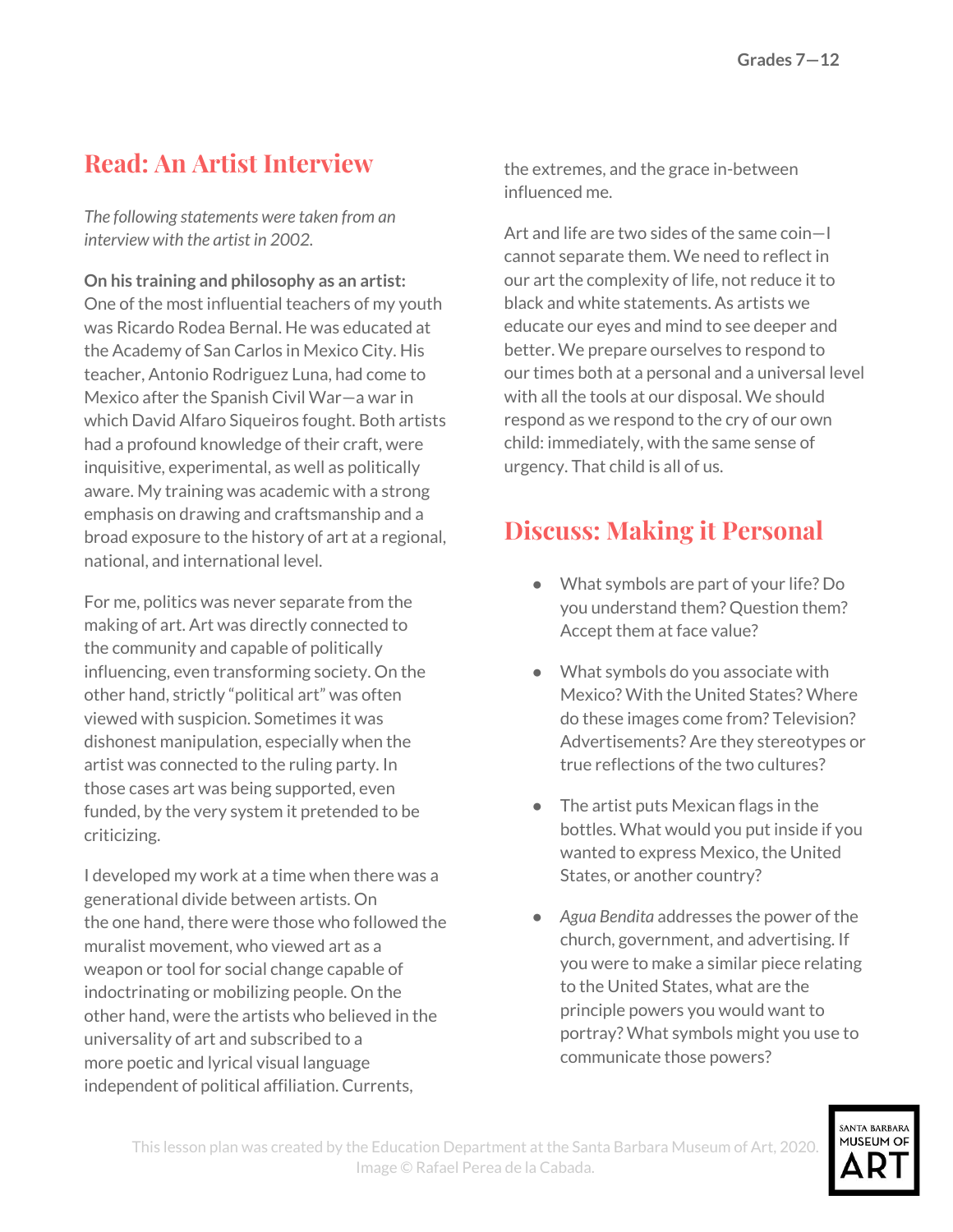### **Read: An Artist Interview**

*The following statements were taken from an interview with the artist in 2002.*

**On his training and philosophy as an artist:** One of the most influential teachers of my youth was Ricardo Rodea Bernal. He was educated at the Academy of San Carlos in Mexico City. His teacher, Antonio Rodriguez Luna, had come to Mexico after the Spanish Civil War—a war in which David Alfaro Siqueiros fought. Both artists had a profound knowledge of their craft, were inquisitive, experimental, as well as politically aware. My training was academic with a strong emphasis on drawing and craftsmanship and a broad exposure to the history of art at a regional, national, and international level.

For me, politics was never separate from the making of art. Art was directly connected to the community and capable of politically influencing, even transforming society. On the other hand, strictly "political art" was often viewed with suspicion. Sometimes it was dishonest manipulation, especially when the artist was connected to the ruling party. In those cases art was being supported, even funded, by the very system it pretended to be criticizing.

I developed my work at a time when there was a generational divide between artists. On the one hand, there were those who followed the muralist movement, who viewed art as a weapon or tool for social change capable of indoctrinating or mobilizing people. On the other hand, were the artists who believed in the universality of art and subscribed to a more poetic and lyrical visual language independent of political affiliation. Currents,

the extremes, and the grace in-between influenced me.

Art and life are two sides of the same coin—I cannot separate them. We need to reflect in our art the complexity of life, not reduce it to black and white statements. As artists we educate our eyes and mind to see deeper and better. We prepare ourselves to respond to our times both at a personal and a universal level with all the tools at our disposal. We should respond as we respond to the cry of our own child: immediately, with the same sense of urgency. That child is all of us.

#### **Discuss: Making it Personal**

- What symbols are part of your life? Do you understand them? Question them? Accept them at face value?
- What symbols do you associate with Mexico? With the United States? Where do these images come from? Television? Advertisements? Are they stereotypes or true reflections of the two cultures?
- The artist puts Mexican flags in the bottles. What would you put inside if you wanted to express Mexico, the United States, or another country?
- *Agua Bendita* addresses the power of the church, government, and advertising. If you were to make a similar piece relating to the United States, what are the principle powers you would want to portray? What symbols might you use to communicate those powers?

SANTA RARRARA MUSEUM OF